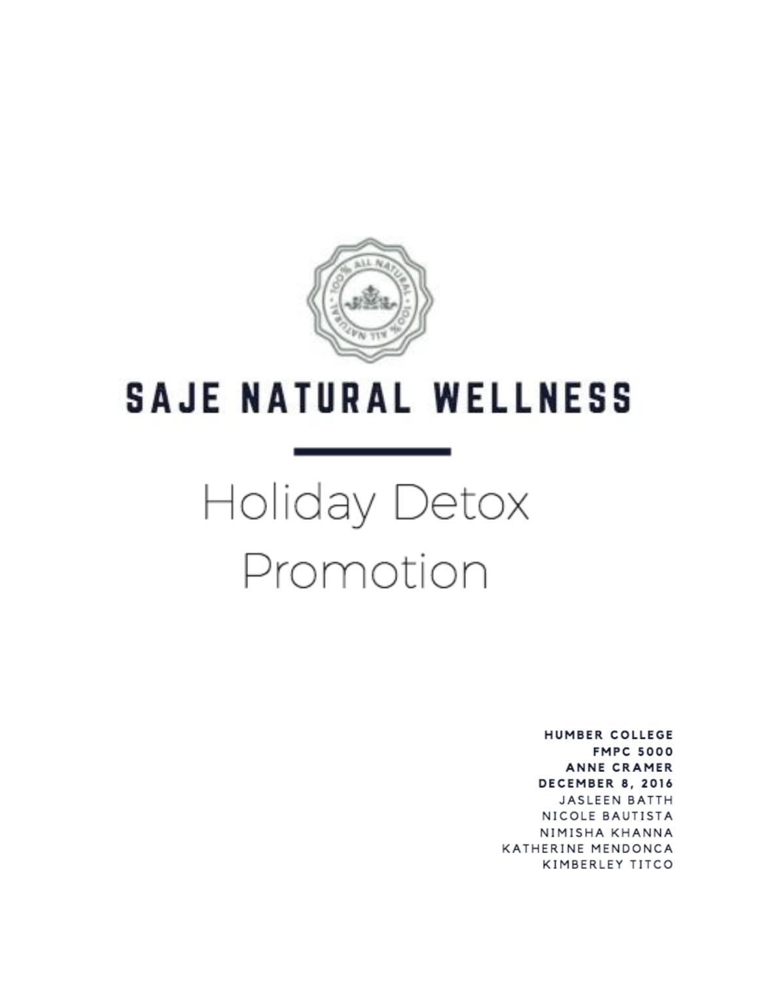

## **SAJE NATURAL WELLNESS**

# Holiday Detox Promotion

**HUMBER COLLEGE FMPC 5000 ANNE CRAMER** DECEMBER 8, 2016 **JASLEEN BATTH** NICOLE BAUTISTA NIMISHA KHANNA KATHERINE MENDONCA KIMBERLEY TITCO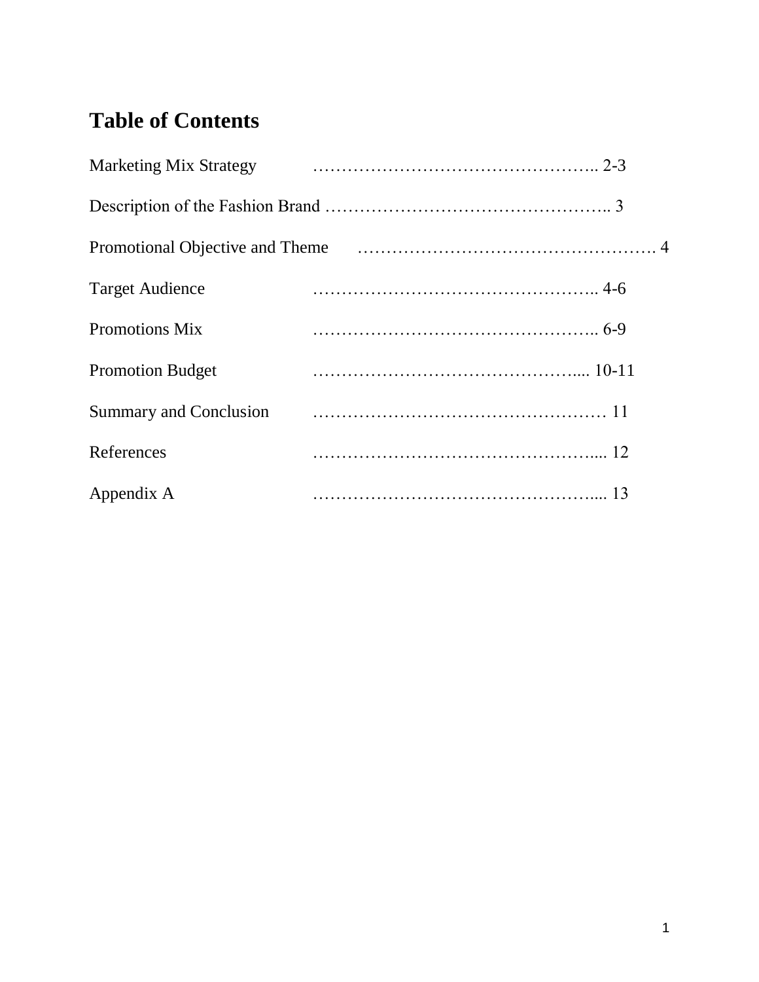## **Table of Contents**

| <b>Marketing Mix Strategy</b> |  |
|-------------------------------|--|
|                               |  |
|                               |  |
| <b>Target Audience</b>        |  |
| <b>Promotions Mix</b>         |  |
| <b>Promotion Budget</b>       |  |
| <b>Summary and Conclusion</b> |  |
| References                    |  |
| Appendix A                    |  |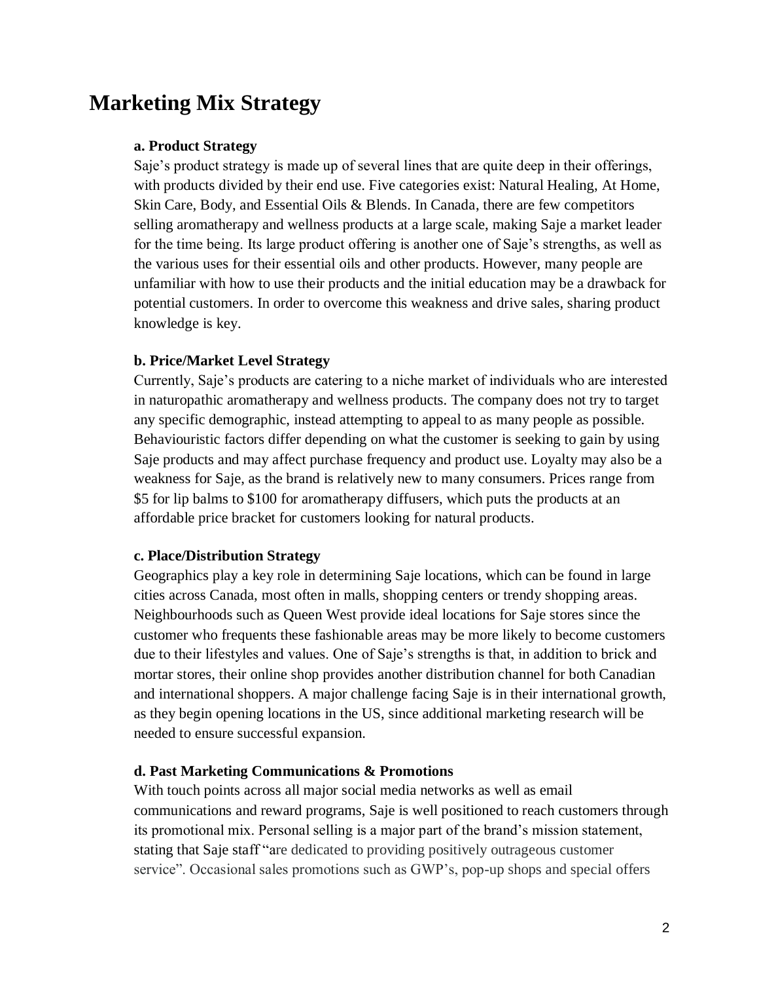## **Marketing Mix Strategy**

#### **a. Product Strategy**

Saje's product strategy is made up of several lines that are quite deep in their offerings, with products divided by their end use. Five categories exist: Natural Healing, At Home, Skin Care, Body, and Essential Oils & Blends. In Canada, there are few competitors selling aromatherapy and wellness products at a large scale, making Saje a market leader for the time being. Its large product offering is another one of Saje's strengths, as well as the various uses for their essential oils and other products. However, many people are unfamiliar with how to use their products and the initial education may be a drawback for potential customers. In order to overcome this weakness and drive sales, sharing product knowledge is key.

#### **b. Price/Market Level Strategy**

Currently, Saje's products are catering to a niche market of individuals who are interested in naturopathic aromatherapy and wellness products. The company does not try to target any specific demographic, instead attempting to appeal to as many people as possible. Behaviouristic factors differ depending on what the customer is seeking to gain by using Saje products and may affect purchase frequency and product use. Loyalty may also be a weakness for Saje, as the brand is relatively new to many consumers. Prices range from \$5 for lip balms to \$100 for aromatherapy diffusers, which puts the products at an affordable price bracket for customers looking for natural products.

#### **c. Place/Distribution Strategy**

Geographics play a key role in determining Saje locations, which can be found in large cities across Canada, most often in malls, shopping centers or trendy shopping areas. Neighbourhoods such as Queen West provide ideal locations for Saje stores since the customer who frequents these fashionable areas may be more likely to become customers due to their lifestyles and values. One of Saje's strengths is that, in addition to brick and mortar stores, their online shop provides another distribution channel for both Canadian and international shoppers. A major challenge facing Saje is in their international growth, as they begin opening locations in the US, since additional marketing research will be needed to ensure successful expansion.

#### **d. Past Marketing Communications & Promotions**

With touch points across all major social media networks as well as email communications and reward programs, Saje is well positioned to reach customers through its promotional mix. Personal selling is a major part of the brand's mission statement, stating that Saje staff "are dedicated to providing positively outrageous customer service". Occasional sales promotions such as GWP's, pop-up shops and special offers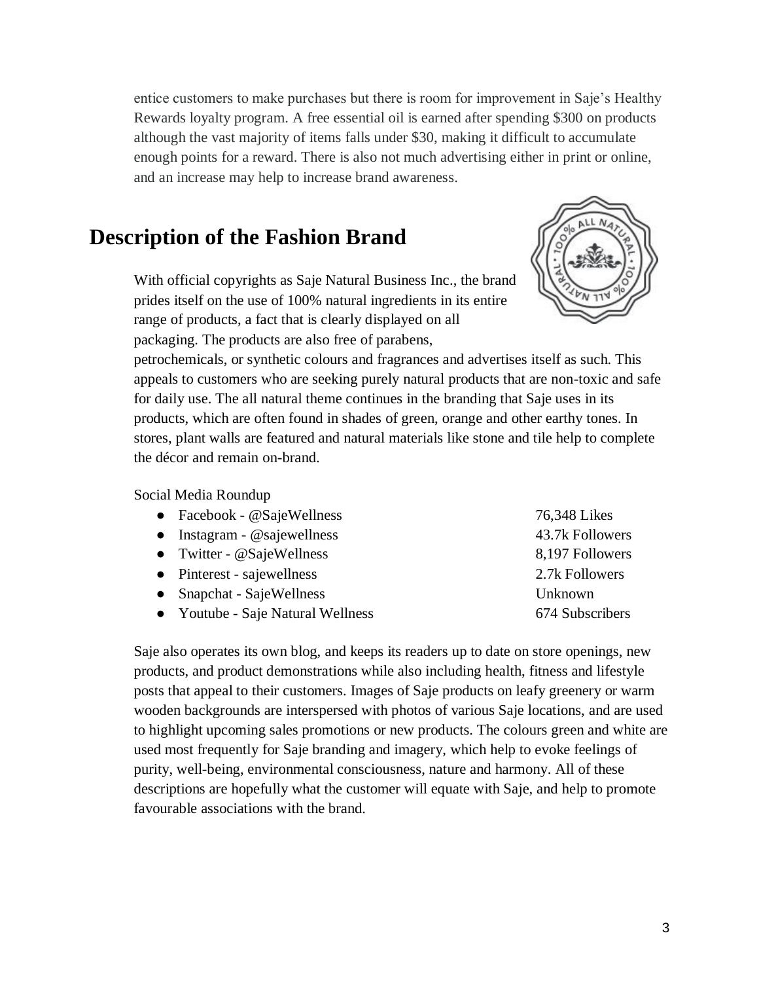entice customers to make purchases but there is room for improvement in Saje's Healthy Rewards loyalty program. A free essential oil is earned after spending \$300 on products although the vast majority of items falls under \$30, making it difficult to accumulate enough points for a reward. There is also not much advertising either in print or online, and an increase may help to increase brand awareness.

### **Description of the Fashion Brand**

With official copyrights as Saje Natural Business Inc., the brand prides itself on the use of 100% natural ingredients in its entire range of products, a fact that is clearly displayed on all packaging. The products are also free of parabens,



petrochemicals, or synthetic colours and fragrances and advertises itself as such. This appeals to customers who are seeking purely natural products that are non-toxic and safe for daily use. The all natural theme continues in the branding that Saje uses in its products, which are often found in shades of green, orange and other earthy tones. In stores, plant walls are featured and natural materials like stone and tile help to complete the décor and remain on-brand.

#### Social Media Roundup

| • Facebook - @SajeWellness          | 76,348 Likes    |
|-------------------------------------|-----------------|
| $\bullet$ Instagram - @sajewellness | 43.7k Followers |
| • Twitter - $@SajeWellness$         | 8,197 Followers |
| • Pinterest - sajewellness          | 2.7k Followers  |
| • Snapchat - SajeWellness           | Unknown         |
| • Youtube - Saje Natural Wellness   | 674 Subscribers |

Saje also operates its own blog, and keeps its readers up to date on store openings, new products, and product demonstrations while also including health, fitness and lifestyle posts that appeal to their customers. Images of Saje products on leafy greenery or warm wooden backgrounds are interspersed with photos of various Saje locations, and are used to highlight upcoming sales promotions or new products. The colours green and white are used most frequently for Saje branding and imagery, which help to evoke feelings of purity, well-being, environmental consciousness, nature and harmony. All of these descriptions are hopefully what the customer will equate with Saje, and help to promote favourable associations with the brand.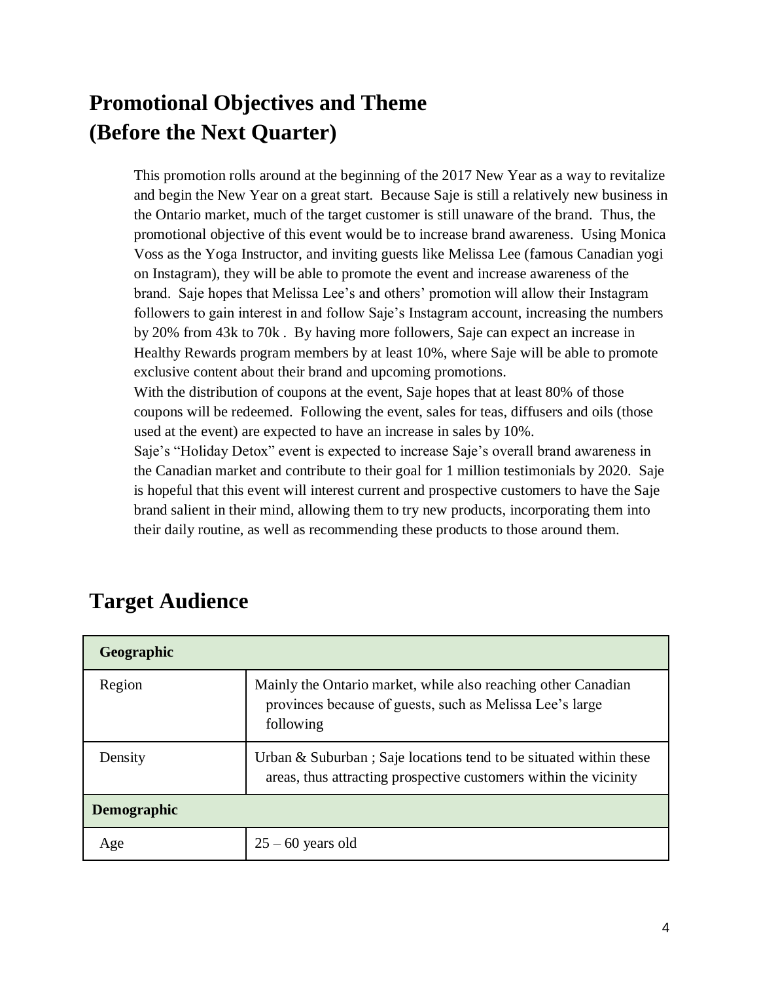## **Promotional Objectives and Theme (Before the Next Quarter)**

This promotion rolls around at the beginning of the 2017 New Year as a way to revitalize and begin the New Year on a great start. Because Saje is still a relatively new business in the Ontario market, much of the target customer is still unaware of the brand. Thus, the promotional objective of this event would be to increase brand awareness. Using Monica Voss as the Yoga Instructor, and inviting guests like Melissa Lee (famous Canadian yogi on Instagram), they will be able to promote the event and increase awareness of the brand. Saje hopes that Melissa Lee's and others' promotion will allow their Instagram followers to gain interest in and follow Saje's Instagram account, increasing the numbers by 20% from 43k to 70k . By having more followers, Saje can expect an increase in Healthy Rewards program members by at least 10%, where Saje will be able to promote exclusive content about their brand and upcoming promotions.

With the distribution of coupons at the event, Saje hopes that at least 80% of those coupons will be redeemed. Following the event, sales for teas, diffusers and oils (those used at the event) are expected to have an increase in sales by 10%.

Saje's "Holiday Detox" event is expected to increase Saje's overall brand awareness in the Canadian market and contribute to their goal for 1 million testimonials by 2020. Saje is hopeful that this event will interest current and prospective customers to have the Saje brand salient in their mind, allowing them to try new products, incorporating them into their daily routine, as well as recommending these products to those around them.

| Geographic         |                                                                                                                                          |
|--------------------|------------------------------------------------------------------------------------------------------------------------------------------|
| Region             | Mainly the Ontario market, while also reaching other Canadian<br>provinces because of guests, such as Melissa Lee's large<br>following   |
| Density            | Urban $\&$ Suburban; Saje locations tend to be situated within these<br>areas, thus attracting prospective customers within the vicinity |
| <b>Demographic</b> |                                                                                                                                          |
| Age                | $25 - 60$ years old                                                                                                                      |

## **Target Audience**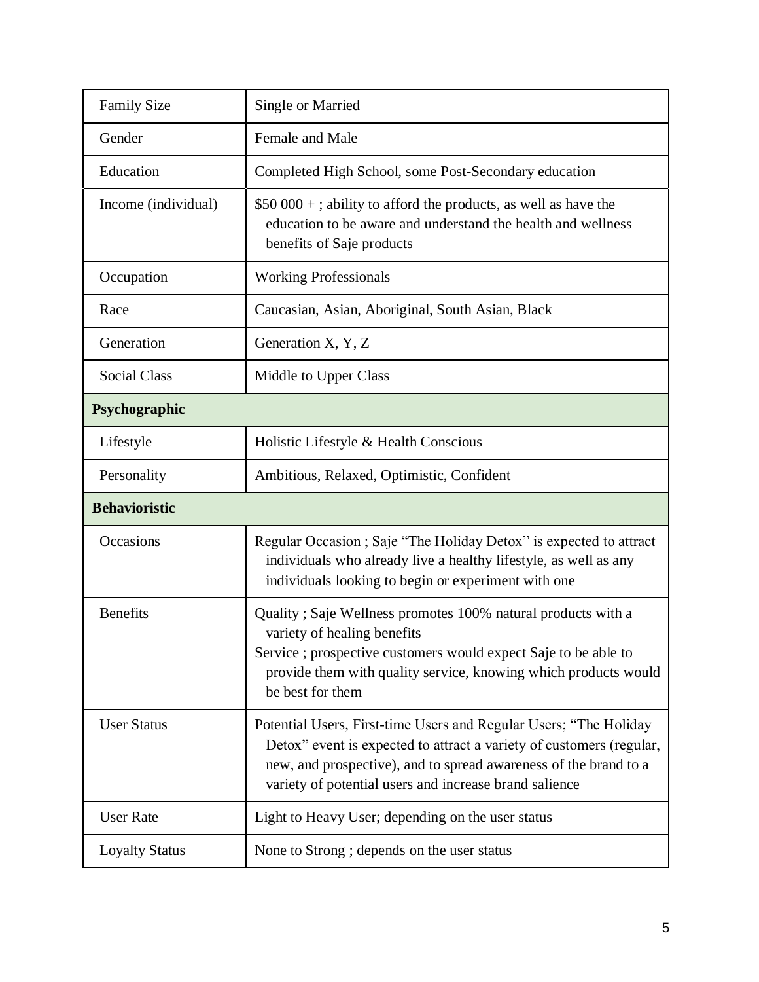| <b>Family Size</b>    | Single or Married                                                                                                                                                                                                                                                       |  |
|-----------------------|-------------------------------------------------------------------------------------------------------------------------------------------------------------------------------------------------------------------------------------------------------------------------|--|
| Gender                | Female and Male                                                                                                                                                                                                                                                         |  |
| Education             | Completed High School, some Post-Secondary education                                                                                                                                                                                                                    |  |
| Income (individual)   | $$50\,000 +$ ; ability to afford the products, as well as have the<br>education to be aware and understand the health and wellness<br>benefits of Saje products                                                                                                         |  |
| Occupation            | <b>Working Professionals</b>                                                                                                                                                                                                                                            |  |
| Race                  | Caucasian, Asian, Aboriginal, South Asian, Black                                                                                                                                                                                                                        |  |
| Generation            | Generation X, Y, Z                                                                                                                                                                                                                                                      |  |
| <b>Social Class</b>   | Middle to Upper Class                                                                                                                                                                                                                                                   |  |
| Psychographic         |                                                                                                                                                                                                                                                                         |  |
| Lifestyle             | Holistic Lifestyle & Health Conscious                                                                                                                                                                                                                                   |  |
| Personality           | Ambitious, Relaxed, Optimistic, Confident                                                                                                                                                                                                                               |  |
| <b>Behavioristic</b>  |                                                                                                                                                                                                                                                                         |  |
| Occasions             | Regular Occasion; Saje "The Holiday Detox" is expected to attract<br>individuals who already live a healthy lifestyle, as well as any<br>individuals looking to begin or experiment with one                                                                            |  |
| <b>Benefits</b>       | Quality; Saje Wellness promotes 100% natural products with a<br>variety of healing benefits<br>Service ; prospective customers would expect Saje to be able to<br>provide them with quality service, knowing which products would<br>be best for them                   |  |
| <b>User Status</b>    | Potential Users, First-time Users and Regular Users; "The Holiday<br>Detox" event is expected to attract a variety of customers (regular,<br>new, and prospective), and to spread awareness of the brand to a<br>variety of potential users and increase brand salience |  |
| <b>User Rate</b>      | Light to Heavy User; depending on the user status                                                                                                                                                                                                                       |  |
| <b>Loyalty Status</b> | None to Strong ; depends on the user status                                                                                                                                                                                                                             |  |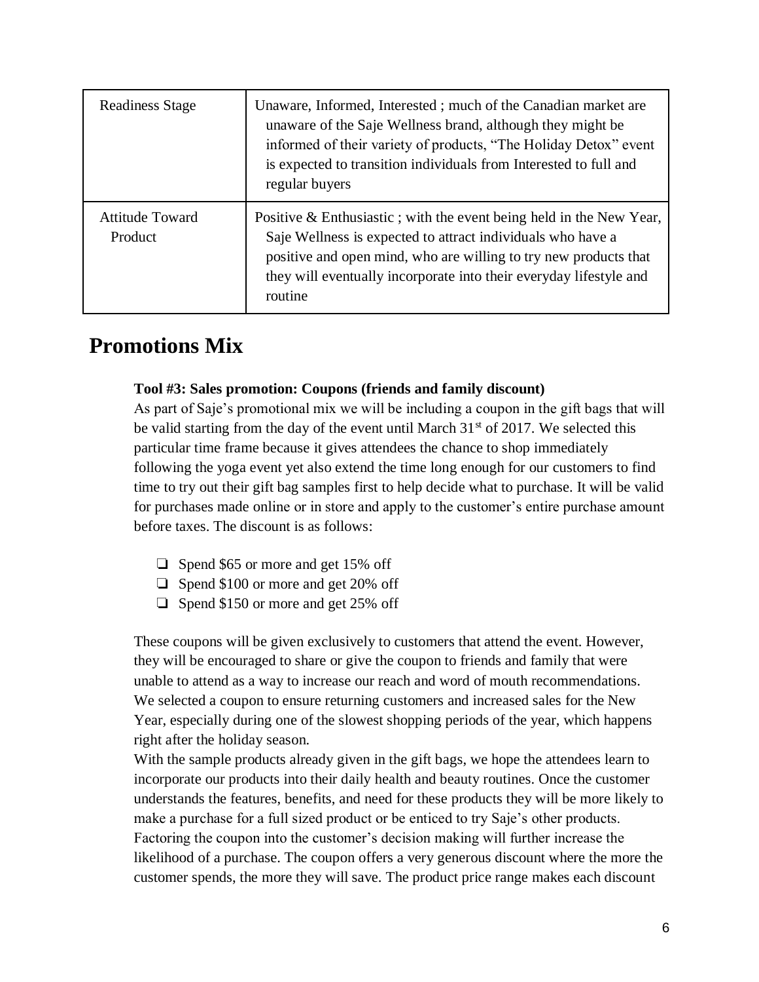| <b>Readiness Stage</b>            | Unaware, Informed, Interested; much of the Canadian market are<br>unaware of the Saje Wellness brand, although they might be<br>informed of their variety of products, "The Holiday Detox" event<br>is expected to transition individuals from Interested to full and<br>regular buyers    |
|-----------------------------------|--------------------------------------------------------------------------------------------------------------------------------------------------------------------------------------------------------------------------------------------------------------------------------------------|
| <b>Attitude Toward</b><br>Product | Positive $\&$ Enthusiastic; with the event being held in the New Year,<br>Saje Wellness is expected to attract individuals who have a<br>positive and open mind, who are willing to try new products that<br>they will eventually incorporate into their everyday lifestyle and<br>routine |

## **Promotions Mix**

#### **Tool #3: Sales promotion: Coupons (friends and family discount)**

As part of Saje's promotional mix we will be including a coupon in the gift bags that will be valid starting from the day of the event until March  $31<sup>st</sup>$  of 2017. We selected this particular time frame because it gives attendees the chance to shop immediately following the yoga event yet also extend the time long enough for our customers to find time to try out their gift bag samples first to help decide what to purchase. It will be valid for purchases made online or in store and apply to the customer's entire purchase amount before taxes. The discount is as follows:

- ❏ Spend \$65 or more and get 15% off
- ❏ Spend \$100 or more and get 20% off
- ❏ Spend \$150 or more and get 25% off

These coupons will be given exclusively to customers that attend the event. However, they will be encouraged to share or give the coupon to friends and family that were unable to attend as a way to increase our reach and word of mouth recommendations. We selected a coupon to ensure returning customers and increased sales for the New Year, especially during one of the slowest shopping periods of the year, which happens right after the holiday season.

With the sample products already given in the gift bags, we hope the attendees learn to incorporate our products into their daily health and beauty routines. Once the customer understands the features, benefits, and need for these products they will be more likely to make a purchase for a full sized product or be enticed to try Saje's other products. Factoring the coupon into the customer's decision making will further increase the likelihood of a purchase. The coupon offers a very generous discount where the more the customer spends, the more they will save. The product price range makes each discount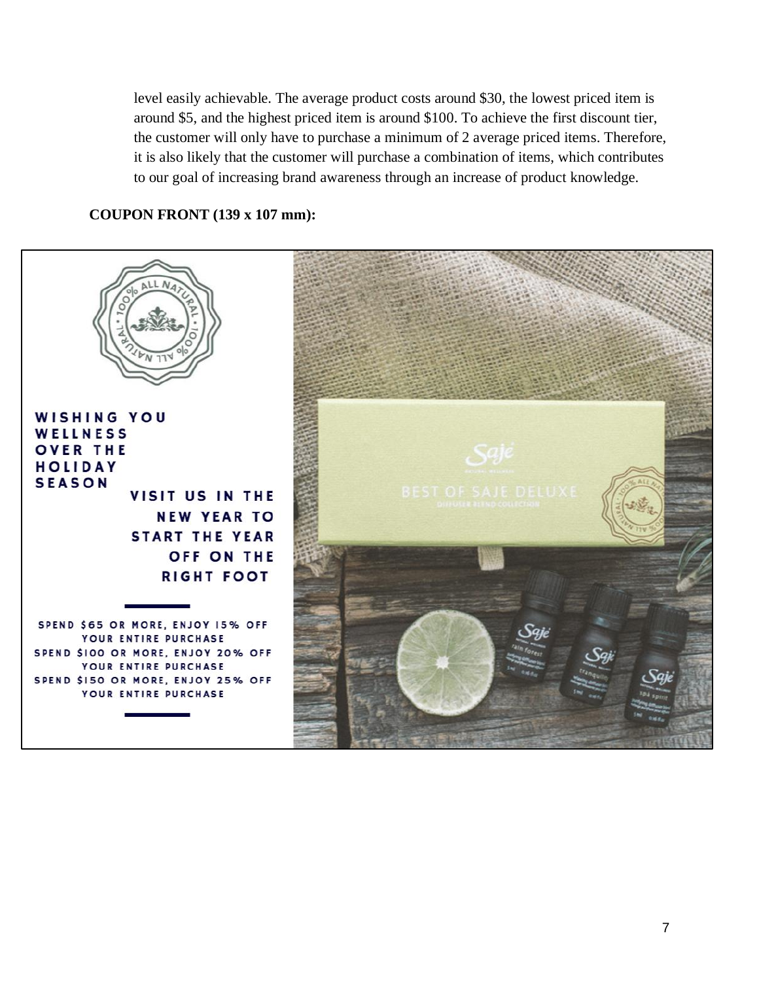level easily achievable. The average product costs around \$30, the lowest priced item is around \$5, and the highest priced item is around \$100. To achieve the first discount tier, the customer will only have to purchase a minimum of 2 average priced items. Therefore, it is also likely that the customer will purchase a combination of items, which contributes to our goal of increasing brand awareness through an increase of product knowledge.

#### **COUPON FRONT (139 x 107 mm):**

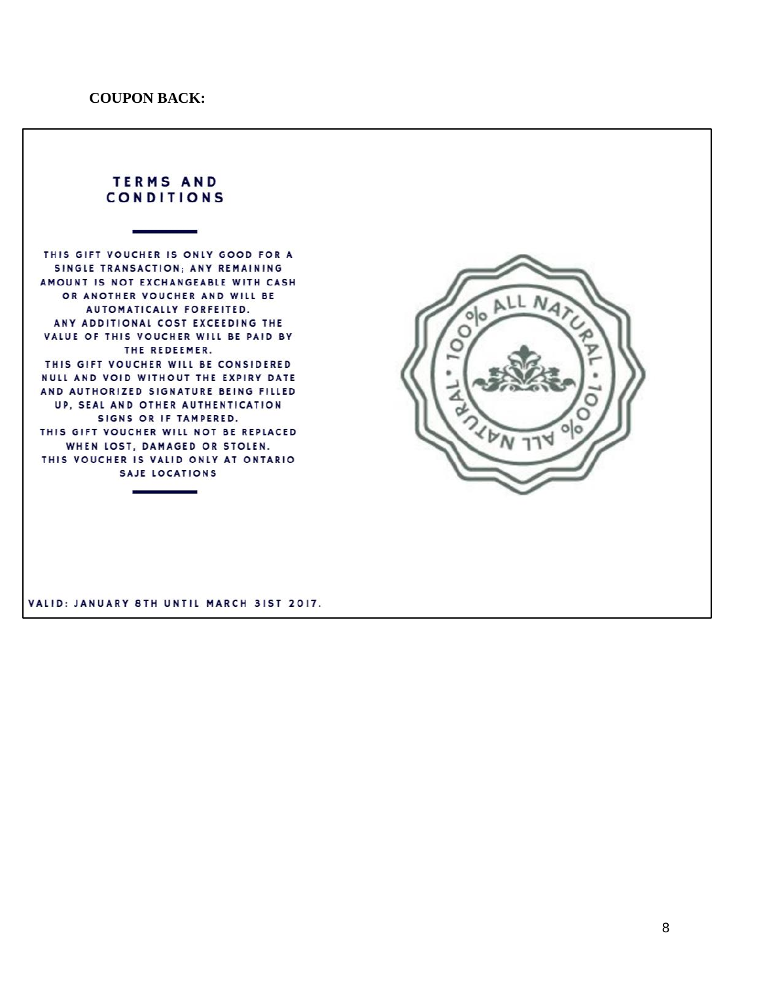#### **TERMS AND CONDITIONS**

THIS GIFT VOUCHER IS ONLY GOOD FOR A SINGLE TRANSACTION; ANY REMAINING AMOUNT IS NOT EXCHANGEABLE WITH CASH OR ANOTHER VOUCHER AND WILL BE AUTOMATICALLY FORFEITED. ANY ADDITIONAL COST EXCEEDING THE VALUE OF THIS VOUCHER WILL BE PAID BY THE REDEEMER. THIS GIFT VOUCHER WILL BE CONSIDERED NULL AND VOID WITHOUT THE EXPIRY DATE AND AUTHORIZED SIGNATURE BEING FILLED UP, SEAL AND OTHER AUTHENTICATION SIGNS OR IF TAMPERED. THIS GIFT VOUCHER WILL NOT BE REPLACED WHEN LOST, DAMAGED OR STOLEN. THIS VOUCHER IS VALID ONLY AT ONTARIO SAJE LOCATIONS



VALID: JANUARY 8TH UNTIL MARCH 31ST 2017.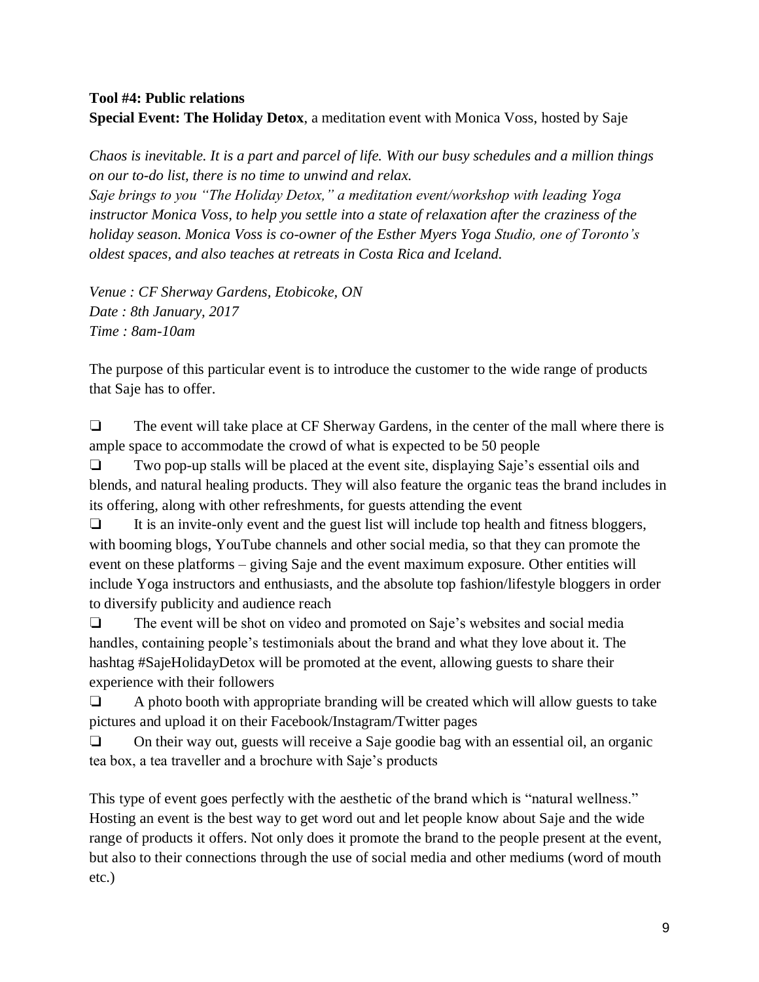#### **Tool #4: Public relations Special Event: The Holiday Detox**, a meditation event with Monica Voss, hosted by Saje

*Chaos is inevitable. It is a part and parcel of life. With our busy schedules and a million things on our to-do list, there is no time to unwind and relax.*

*Saje brings to you "The Holiday Detox," a meditation event/workshop with leading Yoga instructor Monica Voss, to help you settle into a state of relaxation after the craziness of the holiday season. Monica Voss is co-owner of the Esther Myers Yoga Studio, one of Toronto's oldest spaces, and also teaches at retreats in Costa Rica and Iceland.*

*Venue : CF Sherway Gardens, Etobicoke, ON Date : 8th January, 2017 Time : 8am-10am*

The purpose of this particular event is to introduce the customer to the wide range of products that Saje has to offer.

❏ The event will take place at CF Sherway Gardens, in the center of the mall where there is ample space to accommodate the crowd of what is expected to be 50 people

❏ Two pop-up stalls will be placed at the event site, displaying Saje's essential oils and blends, and natural healing products. They will also feature the organic teas the brand includes in its offering, along with other refreshments, for guests attending the event

❏ It is an invite-only event and the guest list will include top health and fitness bloggers, with booming blogs, YouTube channels and other social media, so that they can promote the event on these platforms – giving Saje and the event maximum exposure. Other entities will include Yoga instructors and enthusiasts, and the absolute top fashion/lifestyle bloggers in order to diversify publicity and audience reach

❏ The event will be shot on video and promoted on Saje's websites and social media handles, containing people's testimonials about the brand and what they love about it. The hashtag #SajeHolidayDetox will be promoted at the event, allowing guests to share their experience with their followers

❏ A photo booth with appropriate branding will be created which will allow guests to take pictures and upload it on their Facebook/Instagram/Twitter pages

❏ On their way out, guests will receive a Saje goodie bag with an essential oil, an organic tea box, a tea traveller and a brochure with Saje's products

This type of event goes perfectly with the aesthetic of the brand which is "natural wellness." Hosting an event is the best way to get word out and let people know about Saje and the wide range of products it offers. Not only does it promote the brand to the people present at the event, but also to their connections through the use of social media and other mediums (word of mouth etc.)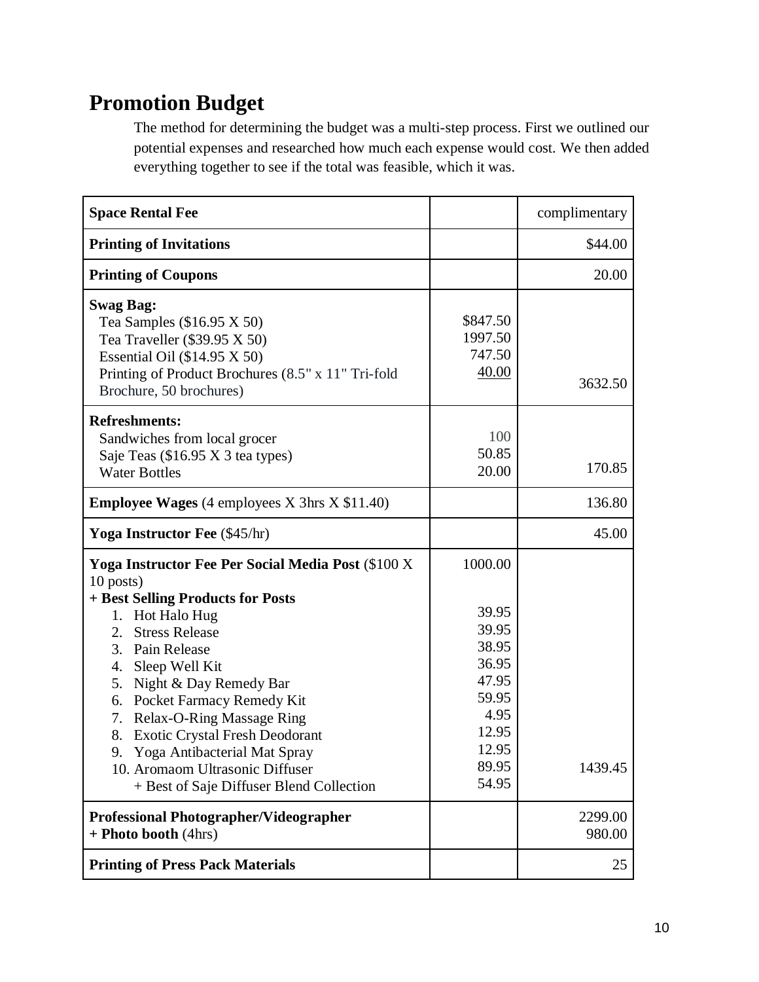## **Promotion Budget**

The method for determining the budget was a multi-step process. First we outlined our potential expenses and researched how much each expense would cost. We then added everything together to see if the total was feasible, which it was.

| <b>Space Rental Fee</b>                                                                                                                                                                                                                                                                                                                                                                                                                                                      |                                                                                                           | complimentary     |
|------------------------------------------------------------------------------------------------------------------------------------------------------------------------------------------------------------------------------------------------------------------------------------------------------------------------------------------------------------------------------------------------------------------------------------------------------------------------------|-----------------------------------------------------------------------------------------------------------|-------------------|
| <b>Printing of Invitations</b>                                                                                                                                                                                                                                                                                                                                                                                                                                               |                                                                                                           | \$44.00           |
| <b>Printing of Coupons</b>                                                                                                                                                                                                                                                                                                                                                                                                                                                   |                                                                                                           | 20.00             |
| <b>Swag Bag:</b><br>Tea Samples $(\$16.95 \times 50)$<br>Tea Traveller $(\$39.95 X 50)$<br>Essential Oil $(\$14.95 X 50)$<br>Printing of Product Brochures (8.5" x 11" Tri-fold<br>Brochure, 50 brochures)                                                                                                                                                                                                                                                                   | \$847.50<br>1997.50<br>747.50<br>40.00                                                                    | 3632.50           |
| <b>Refreshments:</b><br>Sandwiches from local grocer<br>Saje Teas (\$16.95 X 3 tea types)<br><b>Water Bottles</b>                                                                                                                                                                                                                                                                                                                                                            | 100<br>50.85<br>20.00                                                                                     | 170.85            |
| <b>Employee Wages</b> (4 employees X 3hrs X \$11.40)                                                                                                                                                                                                                                                                                                                                                                                                                         |                                                                                                           | 136.80            |
| <b>Yoga Instructor Fee</b> (\$45/hr)                                                                                                                                                                                                                                                                                                                                                                                                                                         |                                                                                                           | 45.00             |
| Yoga Instructor Fee Per Social Media Post (\$100 X<br>10 posts)<br>+ Best Selling Products for Posts<br>Hot Halo Hug<br>1.<br><b>Stress Release</b><br>2.<br>3. Pain Release<br>4.<br>Sleep Well Kit<br>5. Night & Day Remedy Bar<br>6. Pocket Farmacy Remedy Kit<br><b>Relax-O-Ring Massage Ring</b><br>7.<br><b>Exotic Crystal Fresh Deodorant</b><br>8.<br>9. Yoga Antibacterial Mat Spray<br>10. Aromaom Ultrasonic Diffuser<br>+ Best of Saje Diffuser Blend Collection | 1000.00<br>39.95<br>39.95<br>38.95<br>36.95<br>47.95<br>59.95<br>4.95<br>12.95<br>12.95<br>89.95<br>54.95 | 1439.45           |
| <b>Professional Photographer/Videographer</b><br>+ Photo booth (4hrs)                                                                                                                                                                                                                                                                                                                                                                                                        |                                                                                                           | 2299.00<br>980.00 |
| <b>Printing of Press Pack Materials</b>                                                                                                                                                                                                                                                                                                                                                                                                                                      |                                                                                                           | 25                |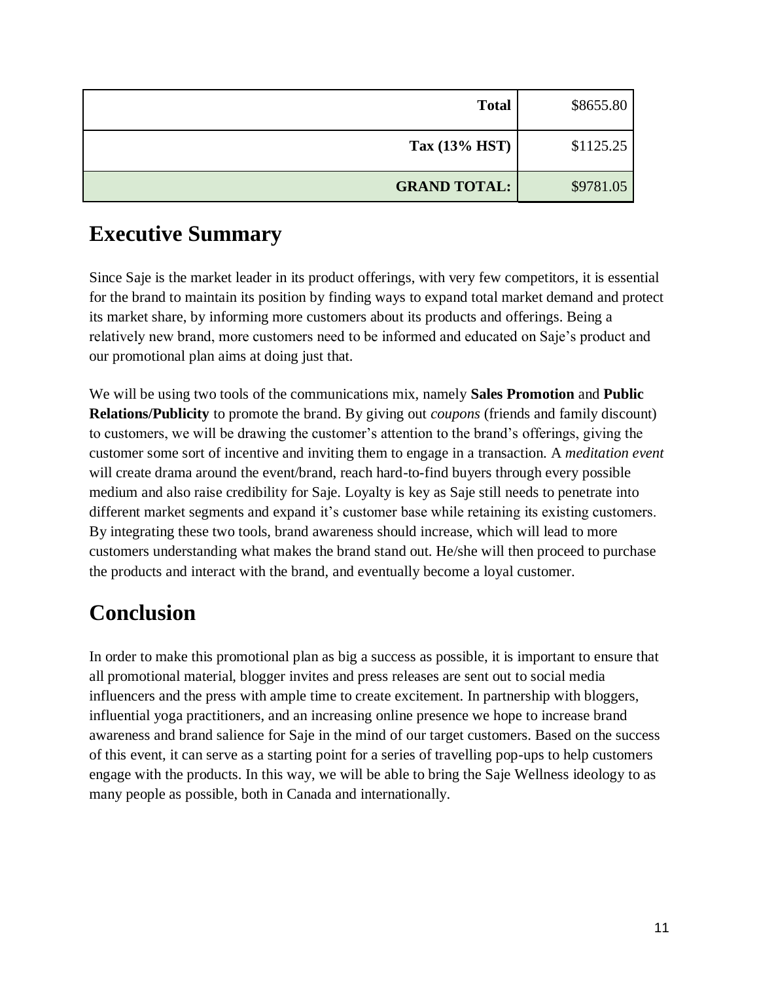| \$8655.80<br><b>Total</b>        |  |
|----------------------------------|--|
| Tax $(13% HST)$<br>\$1125.25     |  |
| <b>GRAND TOTAL:</b><br>\$9781.05 |  |

## **Executive Summary**

Since Saje is the market leader in its product offerings, with very few competitors, it is essential for the brand to maintain its position by finding ways to expand total market demand and protect its market share, by informing more customers about its products and offerings. Being a relatively new brand, more customers need to be informed and educated on Saje's product and our promotional plan aims at doing just that.

We will be using two tools of the communications mix, namely **Sales Promotion** and **Public Relations/Publicity** to promote the brand. By giving out *coupons* (friends and family discount) to customers, we will be drawing the customer's attention to the brand's offerings, giving the customer some sort of incentive and inviting them to engage in a transaction. A *meditation event* will create drama around the event/brand, reach hard-to-find buyers through every possible medium and also raise credibility for Saje. Loyalty is key as Saje still needs to penetrate into different market segments and expand it's customer base while retaining its existing customers. By integrating these two tools, brand awareness should increase, which will lead to more customers understanding what makes the brand stand out. He/she will then proceed to purchase the products and interact with the brand, and eventually become a loyal customer.

## **Conclusion**

In order to make this promotional plan as big a success as possible, it is important to ensure that all promotional material, blogger invites and press releases are sent out to social media influencers and the press with ample time to create excitement. In partnership with bloggers, influential yoga practitioners, and an increasing online presence we hope to increase brand awareness and brand salience for Saje in the mind of our target customers. Based on the success of this event, it can serve as a starting point for a series of travelling pop-ups to help customers engage with the products. In this way, we will be able to bring the Saje Wellness ideology to as many people as possible, both in Canada and internationally.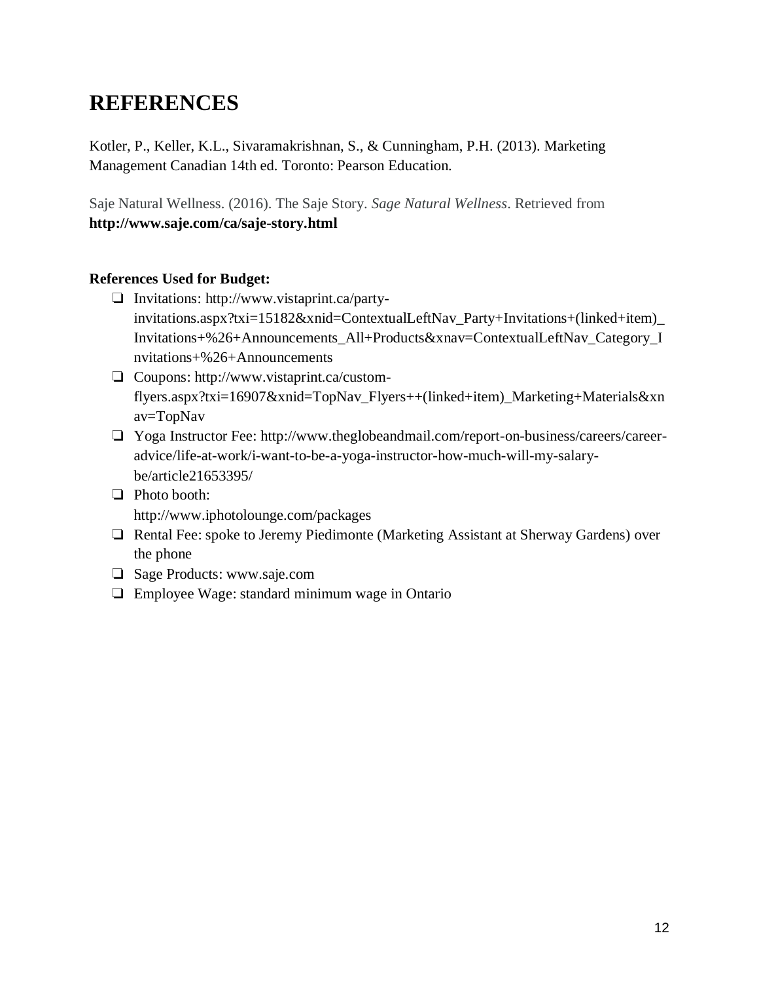## **REFERENCES**

Kotler, P., Keller, K.L., Sivaramakrishnan, S., & Cunningham, P.H. (2013). Marketing Management Canadian 14th ed. Toronto: Pearson Education.

Saje Natural Wellness. (2016). The Saje Story. *Sage Natural Wellness*. Retrieved from **<http://www.saje.com/ca/saje-story.html>**

#### **References Used for Budget:**

- ❏ Invitations: [http://www.vistaprint.ca/party](http://www.vistaprint.ca/party-invitations.aspx?txi=15182&xnid=ContextualLeftNav_Party+Invitations+(linked+item)_Invitations+%26+Announcements_All+Products&xnav=ContextualLeftNav_Category_Invitations+%26+Announcements)[invitations.aspx?txi=15182&xnid=ContextualLeftNav\\_Party+Invitations+\(linked+item\)\\_](http://www.vistaprint.ca/party-invitations.aspx?txi=15182&xnid=ContextualLeftNav_Party+Invitations+(linked+item)_Invitations+%26+Announcements_All+Products&xnav=ContextualLeftNav_Category_Invitations+%26+Announcements) [Invitations+%26+Announcements\\_All+Products&xnav=ContextualLeftNav\\_Category\\_I](http://www.vistaprint.ca/party-invitations.aspx?txi=15182&xnid=ContextualLeftNav_Party+Invitations+(linked+item)_Invitations+%26+Announcements_All+Products&xnav=ContextualLeftNav_Category_Invitations+%26+Announcements) [nvitations+%26+Announcements](http://www.vistaprint.ca/party-invitations.aspx?txi=15182&xnid=ContextualLeftNav_Party+Invitations+(linked+item)_Invitations+%26+Announcements_All+Products&xnav=ContextualLeftNav_Category_Invitations+%26+Announcements)
- ❏ Coupons: [http://www.vistaprint.ca/custom](http://www.vistaprint.ca/custom-flyers.aspx?txi=16907&xnid=TopNav_Flyers++(linked+item)_Marketing+Materials&xnav=TopNav)[flyers.aspx?txi=16907&xnid=TopNav\\_Flyers++\(linked+item\)\\_Marketing+Materials&xn](http://www.vistaprint.ca/custom-flyers.aspx?txi=16907&xnid=TopNav_Flyers++(linked+item)_Marketing+Materials&xnav=TopNav) [av=TopNav](http://www.vistaprint.ca/custom-flyers.aspx?txi=16907&xnid=TopNav_Flyers++(linked+item)_Marketing+Materials&xnav=TopNav)
- ❏ Yoga Instructor Fee: [http://www.theglobeandmail.com/report-on-business/careers/career](http://www.theglobeandmail.com/report-on-business/careers/career-advice/life-at-work/i-want-to-be-a-yoga-instructor-how-much-will-my-salary-be/article21653395/)[advice/life-at-work/i-want-to-be-a-yoga-instructor-how-much-will-my-salary](http://www.theglobeandmail.com/report-on-business/careers/career-advice/life-at-work/i-want-to-be-a-yoga-instructor-how-much-will-my-salary-be/article21653395/)[be/article21653395/](http://www.theglobeandmail.com/report-on-business/careers/career-advice/life-at-work/i-want-to-be-a-yoga-instructor-how-much-will-my-salary-be/article21653395/)
- ❏ Photo booth: <http://www.iphotolounge.com/packages>
- ❏ Rental Fee: spoke to Jeremy Piedimonte (Marketing Assistant at Sherway Gardens) over the phone
- ❏ Sage Products: [www.saje.com](http://www.saje.com/)
- ❏ Employee Wage: standard minimum wage in Ontario